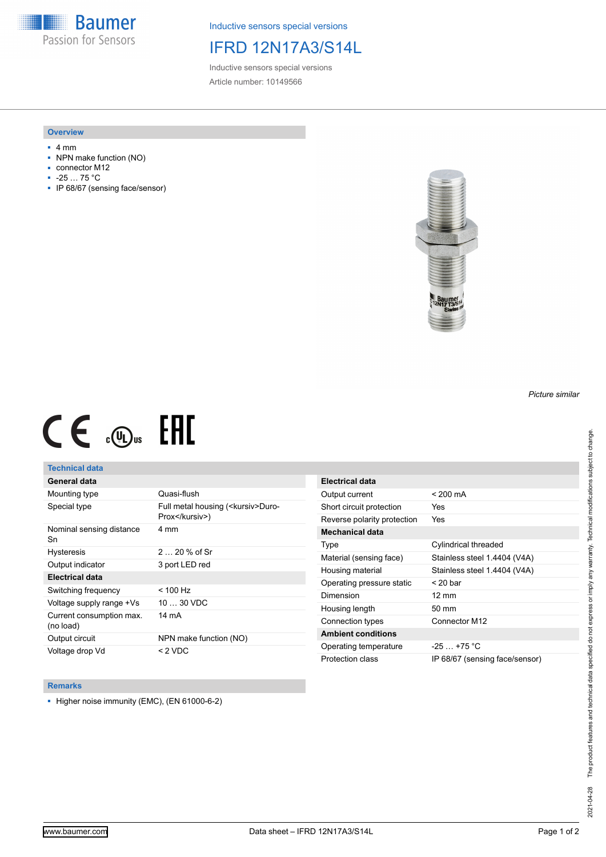**Baumer** Passion for Sensors

Inductive sensors special versions

# IFRD 12N17A3/S14L

Inductive sensors special versions Article number: 10149566

### **Overview**

- 4 mm
- NPN make function (NO)
- connector M12
- -25 … 75 °C
- IP 68/67 (sensing face/sensor)



# $CE \mathcal{L}$  ( $\mathcal{L}$  and  $SE$

## **Technical data**

## **General data**

| Mounting type                         | Quasi-flush                                            |
|---------------------------------------|--------------------------------------------------------|
| Special type                          | Full metal housing ( <kursiv>Duro-<br/>Prox</kursiv> ) |
| Nominal sensing distance<br>Sn        | 4 mm                                                   |
| <b>Hysteresis</b>                     | $220%$ of Sr                                           |
| Output indicator                      | 3 port LED red                                         |
| <b>Electrical data</b>                |                                                        |
| Switching frequency                   | < 100 Hz                                               |
| Voltage supply range +Vs              | $1030$ VDC                                             |
| Current consumption max.<br>(no load) | 14 mA                                                  |
| Output circuit                        | NPN make function (NO)                                 |
| Voltage drop Vd                       | < 2 VDC                                                |

| Electrical data             |                                |
|-----------------------------|--------------------------------|
| Output current              | $< 200 \text{ mA}$             |
| Short circuit protection    | Yes                            |
| Reverse polarity protection | Yes                            |
| Mechanical data             |                                |
| Type                        | Cylindrical threaded           |
| Material (sensing face)     | Stainless steel 1.4404 (V4A)   |
| Housing material            | Stainless steel 1.4404 (V4A)   |
| Operating pressure static   | $<$ 20 bar                     |
| Dimension                   | $12 \text{ mm}$                |
| Housing length              | 50 mm                          |
| Connection types            | Connector M12                  |
| <b>Ambient conditions</b>   |                                |
| Operating temperature       | $-25 + 75$ °C                  |
| Protection class            | IP 68/67 (sensing face/sensor) |

#### **Remarks**

■ Higher noise immunity (EMC), (EN 61000-6-2)

*Picture similar*